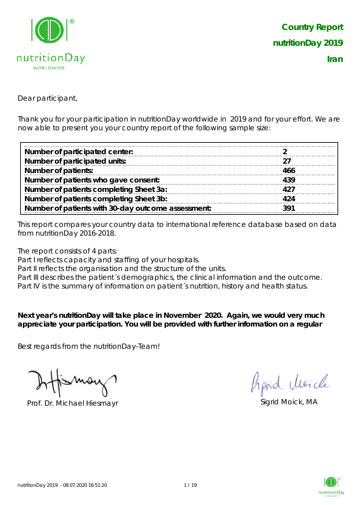

Dear participant,

Thank you for your participation in nutritionDay worldwide in 2019 and for your effort. We are now able to present you your country report of the following sample size:

| Number of participated center:                     |      |
|----------------------------------------------------|------|
| Number of participated units:                      |      |
| <b>Number of patients:</b>                         | 466  |
| Number of patients who gave consent:               | 439  |
| Number of patients completing Sheet 3a:            | 427  |
| Number of patients completing Sheet 3b:            | 424  |
| Number of patients with 30-day outcome assessment: | ె 91 |

This report compares your country data to international reference database based on data from nutritionDay 2016-2018.

The report consists of 4 parts:

Part I reflects capacity and staffing of your hospitals.

Part II reflects the organisation and the structure of the units.

Part III describes the patient's demographics, the clinical information and the outcome.

Part IV is the summary of information on patient´s nutrition, history and health status.

**Next year's nutritionDay will take place in November 2020. Again, we would very much appreciate your participation. You will be provided with further information on a regular** 

Best regards from the nutritionDay-Team!

Prof. Dr. Michael Hiesmayr Sigrid Moick, MA

Aprid Moich

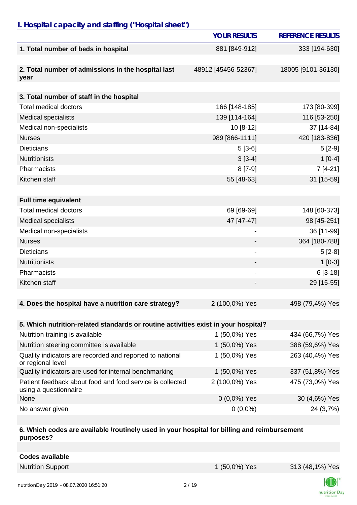## *I. Hospital capacity and staffing ("Hospital sheet")*

|                                                                                    | <b>YOUR RESULTS</b>      | <b>REFERENCE RESULTS</b> |
|------------------------------------------------------------------------------------|--------------------------|--------------------------|
| 1. Total number of beds in hospital                                                | 881 [849-912]            | 333 [194-630]            |
| 2. Total number of admissions in the hospital last<br>year                         | 48912 [45456-52367]      | 18005 [9101-36130]       |
|                                                                                    |                          |                          |
| 3. Total number of staff in the hospital                                           |                          |                          |
| <b>Total medical doctors</b>                                                       | 166 [148-185]            | 173 [80-399]             |
| <b>Medical specialists</b>                                                         | 139 [114-164]            | 116 [53-250]             |
| Medical non-specialists                                                            | $10[8-12]$               | 37 [14-84]               |
| <b>Nurses</b>                                                                      | 989 [866-1111]           | 420 [183-836]            |
| <b>Dieticians</b>                                                                  | $5[3-6]$                 | $5[2-9]$                 |
| <b>Nutritionists</b>                                                               | $3[3-4]$                 | $1 [0-4]$                |
| Pharmacists                                                                        | $8[7-9]$                 | 7 [4-21]                 |
| Kitchen staff                                                                      | 55 [48-63]               | 31 [15-59]               |
|                                                                                    |                          |                          |
| <b>Full time equivalent</b>                                                        |                          |                          |
| <b>Total medical doctors</b>                                                       | 69 [69-69]               | 148 [60-373]             |
| <b>Medical specialists</b>                                                         | 47 [47-47]               | 98 [45-251]              |
| Medical non-specialists                                                            |                          | 36 [11-99]               |
| <b>Nurses</b>                                                                      |                          | 364 [180-788]            |
| <b>Dieticians</b>                                                                  | $\overline{\phantom{a}}$ | $5[2-8]$                 |
| <b>Nutritionists</b>                                                               |                          | $1[0-3]$                 |
| Pharmacists                                                                        |                          | $6[3-18]$                |
| Kitchen staff                                                                      |                          | 29 [15-55]               |
|                                                                                    |                          |                          |
| 4. Does the hospital have a nutrition care strategy?                               | 2 (100,0%) Yes           | 498 (79,4%) Yes          |
|                                                                                    |                          |                          |
| 5. Which nutrition-related standards or routine activities exist in your hospital? |                          |                          |
| Nutrition training is available                                                    | 1 (50,0%) Yes            | 434 (66,7%) Yes          |
| Nutrition steering committee is available                                          | 1 (50,0%) Yes            | 388 (59,6%) Yes          |
| Quality indicators are recorded and reported to national<br>or regional level      | 1 (50,0%) Yes            | 263 (40,4%) Yes          |
| Quality indicators are used for internal benchmarking                              | 1 (50,0%) Yes            | 337 (51,8%) Yes          |
| Patient feedback about food and food service is collected<br>using a questionnaire | 2 (100,0%) Yes           | 475 (73,0%) Yes          |
| None                                                                               | 0 (0,0%) Yes             | 30 (4,6%) Yes            |
| No answer given                                                                    | $0(0,0\%)$               | 24 (3,7%)                |

#### **6. Which codes are available /routinely used in your hospital for billing and reimbursement purposes?**

| <b>Codes available</b> |  |  |  |  |
|------------------------|--|--|--|--|
|------------------------|--|--|--|--|

Nutrition Support 1 (50,0%) Yes 313 (48,1%) Yes

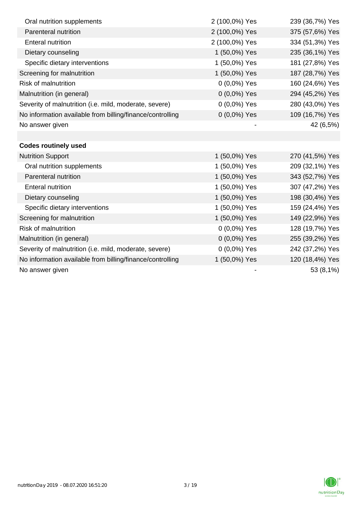| Oral nutrition supplements                                | 2 (100,0%) Yes | 239 (36,7%) Yes |
|-----------------------------------------------------------|----------------|-----------------|
| Parenteral nutrition                                      | 2 (100,0%) Yes | 375 (57,6%) Yes |
| <b>Enteral nutrition</b>                                  | 2 (100,0%) Yes | 334 (51,3%) Yes |
| Dietary counseling                                        | 1 (50,0%) Yes  | 235 (36,1%) Yes |
| Specific dietary interventions                            | 1 (50,0%) Yes  | 181 (27,8%) Yes |
| Screening for malnutrition                                | 1 (50,0%) Yes  | 187 (28,7%) Yes |
| <b>Risk of malnutrition</b>                               | 0 (0,0%) Yes   | 160 (24,6%) Yes |
| Malnutrition (in general)                                 | 0 (0,0%) Yes   | 294 (45,2%) Yes |
| Severity of malnutrition (i.e. mild, moderate, severe)    | 0 (0,0%) Yes   | 280 (43,0%) Yes |
| No information available from billing/finance/controlling | $0(0,0\%)$ Yes | 109 (16,7%) Yes |
| No answer given                                           |                | 42 (6,5%)       |
|                                                           |                |                 |
| <b>Codes routinely used</b>                               |                |                 |
| <b>Nutrition Support</b>                                  | 1 (50,0%) Yes  | 270 (41,5%) Yes |
| Oral nutrition supplements                                | 1 (50,0%) Yes  | 209 (32,1%) Yes |
| Parenteral nutrition                                      | 1 (50,0%) Yes  | 343 (52,7%) Yes |
| <b>Enteral nutrition</b>                                  | 1 (50,0%) Yes  | 307 (47,2%) Yes |
| Dietary counseling                                        | 1 (50,0%) Yes  | 198 (30,4%) Yes |
| Specific dietary interventions                            | 1 (50,0%) Yes  | 159 (24,4%) Yes |
| Screening for malnutrition                                | 1 (50,0%) Yes  | 149 (22,9%) Yes |
| <b>Risk of malnutrition</b>                               | $0(0,0\%)$ Yes | 128 (19,7%) Yes |
| Malnutrition (in general)                                 | $0(0,0\%)$ Yes | 255 (39,2%) Yes |
| Severity of malnutrition (i.e. mild, moderate, severe)    | $0(0,0\%)$ Yes | 242 (37,2%) Yes |
| No information available from billing/finance/controlling | 1 (50,0%) Yes  | 120 (18,4%) Yes |
| No answer given                                           |                | 53 (8,1%)       |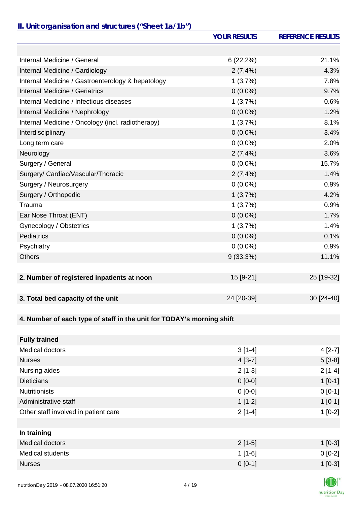### *II. Unit organisation and structures ("Sheet 1a/1b")*

|                                                                       | <b>YOUR RESULTS</b> | <b>REFERENCE RESULTS</b> |
|-----------------------------------------------------------------------|---------------------|--------------------------|
|                                                                       |                     |                          |
| Internal Medicine / General                                           | 6(22,2%)            | 21.1%                    |
| Internal Medicine / Cardiology                                        | 2(7,4%)             | 4.3%                     |
| Internal Medicine / Gastroenterology & hepatology                     | 1(3,7%)             | 7.8%                     |
| Internal Medicine / Geriatrics                                        | $0(0,0\%)$          | 9.7%                     |
| Internal Medicine / Infectious diseases                               | 1(3,7%)             | 0.6%                     |
| Internal Medicine / Nephrology                                        | $0(0,0\%)$          | 1.2%                     |
| Internal Medicine / Oncology (incl. radiotherapy)                     | 1(3,7%)             | 8.1%                     |
| Interdisciplinary                                                     | $0(0,0\%)$          | 3.4%                     |
| Long term care                                                        | $0(0,0\%)$          | 2.0%                     |
| Neurology                                                             | 2(7,4%              | 3.6%                     |
| Surgery / General                                                     | $0(0,0\%)$          | 15.7%                    |
| Surgery/ Cardiac/Vascular/Thoracic                                    | 2(7,4%)             | 1.4%                     |
| Surgery / Neurosurgery                                                | $0(0,0\%)$          | 0.9%                     |
| Surgery / Orthopedic                                                  | 1(3,7%)             | 4.2%                     |
| Trauma                                                                | 1(3,7%)             | 0.9%                     |
| Ear Nose Throat (ENT)                                                 | $0(0,0\%)$          | 1.7%                     |
| Gynecology / Obstetrics                                               | 1(3,7%)             | 1.4%                     |
| <b>Pediatrics</b>                                                     | $0(0,0\%)$          | 0.1%                     |
| Psychiatry                                                            | $0(0,0\%)$          | 0.9%                     |
| <b>Others</b>                                                         | $9(33,3\%)$         | 11.1%                    |
|                                                                       |                     |                          |
| 2. Number of registered inpatients at noon                            | 15 [9-21]           | 25 [19-32]               |
|                                                                       |                     |                          |
| 3. Total bed capacity of the unit                                     | 24 [20-39]          | 30 [24-40]               |
|                                                                       |                     |                          |
| 4. Number of each type of staff in the unit for TODAY's morning shift |                     |                          |
|                                                                       |                     |                          |
| <b>Fully trained</b>                                                  |                     |                          |
| <b>Medical doctors</b>                                                | $3[1-4]$            | $4[2-7]$                 |
| <b>Nurses</b>                                                         | $4[3-7]$            | $5[3-8]$                 |
| Nursing aides                                                         | $2[1-3]$            | $2[1-4]$                 |
| <b>Dieticians</b>                                                     | $0 [0-0]$           | $1[0-1]$                 |
| <b>Nutritionists</b>                                                  | $0 [0-0]$           | $0 [0-1]$                |
| Administrative staff                                                  | $1[1-2]$            | $1[0-1]$                 |
| Other staff involved in patient care                                  | $2[1-4]$            | $1[0-2]$                 |
|                                                                       |                     |                          |
| In training                                                           |                     |                          |

| Medical doctors  | $2[1-5]$  | $1$ [0-3] |
|------------------|-----------|-----------|
| Medical students | $1$ [1-6] | $0 [0-2]$ |
| <b>Nurses</b>    | $0 [0-1]$ | $1[0-3]$  |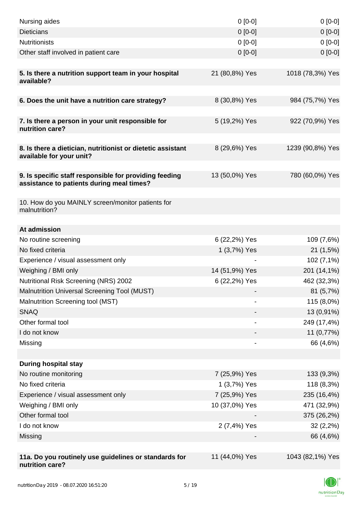| Nursing aides                                                                                       | $0[0-0]$       | $0[0-0]$         |
|-----------------------------------------------------------------------------------------------------|----------------|------------------|
| <b>Dieticians</b>                                                                                   | $0 [0-0]$      | $0[0-0]$         |
| <b>Nutritionists</b>                                                                                | $0 [0-0]$      | $0[0-0]$         |
| Other staff involved in patient care                                                                | $0$ [0-0]      | $0[0-0]$         |
|                                                                                                     |                |                  |
| 5. Is there a nutrition support team in your hospital<br>available?                                 | 21 (80,8%) Yes | 1018 (78,3%) Yes |
| 6. Does the unit have a nutrition care strategy?                                                    | 8 (30,8%) Yes  | 984 (75,7%) Yes  |
|                                                                                                     |                |                  |
| 7. Is there a person in your unit responsible for<br>nutrition care?                                | 5 (19,2%) Yes  | 922 (70,9%) Yes  |
| 8. Is there a dietician, nutritionist or dietetic assistant<br>available for your unit?             | 8 (29,6%) Yes  | 1239 (90,8%) Yes |
|                                                                                                     |                |                  |
| 9. Is specific staff responsible for providing feeding<br>assistance to patients during meal times? | 13 (50,0%) Yes | 780 (60,0%) Yes  |
|                                                                                                     |                |                  |
| 10. How do you MAINLY screen/monitor patients for<br>malnutrition?                                  |                |                  |
| At admission                                                                                        |                |                  |
| No routine screening                                                                                | 6 (22,2%) Yes  | 109 (7,6%)       |
| No fixed criteria                                                                                   | 1 (3,7%) Yes   | 21(1,5%)         |
| Experience / visual assessment only                                                                 |                | 102 (7,1%)       |
| Weighing / BMI only                                                                                 | 14 (51,9%) Yes | 201 (14,1%)      |
| Nutritional Risk Screening (NRS) 2002                                                               | 6 (22,2%) Yes  | 462 (32,3%)      |
| Malnutrition Universal Screening Tool (MUST)                                                        |                | 81 (5,7%)        |
| Malnutrition Screening tool (MST)                                                                   |                | 115 (8,0%)       |
| <b>SNAQ</b>                                                                                         |                | 13 (0,91%)       |
| Other formal tool                                                                                   |                | 249 (17,4%)      |
| I do not know                                                                                       |                | 11 (0,77%)       |
| Missing                                                                                             |                | 66 (4,6%)        |
|                                                                                                     |                |                  |
| <b>During hospital stay</b>                                                                         |                |                  |
| No routine monitoring                                                                               | 7 (25,9%) Yes  | 133 (9,3%)       |
| No fixed criteria                                                                                   | 1 (3,7%) Yes   | 118 (8,3%)       |
| Experience / visual assessment only                                                                 | 7 (25,9%) Yes  | 235 (16,4%)      |
| Weighing / BMI only                                                                                 | 10 (37,0%) Yes | 471 (32,9%)      |
| Other formal tool                                                                                   |                | 375 (26,2%)      |
| I do not know                                                                                       | 2 (7,4%) Yes   | 32(2,2%)         |
| Missing                                                                                             |                | 66 (4,6%)        |
|                                                                                                     |                |                  |
| 11a. Do you routinely use guidelines or standards for<br>nutrition care?                            | 11 (44,0%) Yes | 1043 (82,1%) Yes |

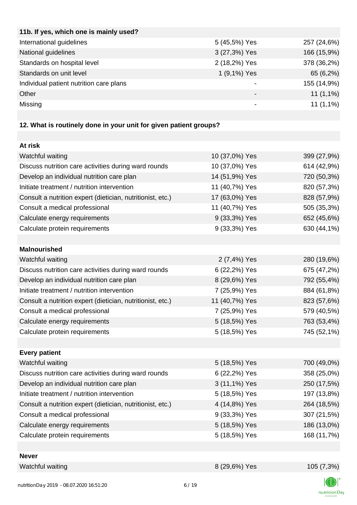| 11b. If yes, which one is mainly used?  |               |             |
|-----------------------------------------|---------------|-------------|
| International guidelines                | 5 (45,5%) Yes | 257 (24,6%) |
| National guidelines                     | 3 (27,3%) Yes | 166 (15,9%) |
| Standards on hospital level             | 2 (18,2%) Yes | 378 (36,2%) |
| Standards on unit level                 | 1 (9,1%) Yes  | 65 (6,2%)   |
| Individual patient nutrition care plans |               | 155 (14,9%) |
| Other                                   |               | $11(1,1\%)$ |
| Missing                                 | -             | $11(1,1\%)$ |
|                                         |               |             |

# **12. What is routinely done in your unit for given patient groups?**

| At risk                                                    |                |             |
|------------------------------------------------------------|----------------|-------------|
| Watchful waiting                                           | 10 (37,0%) Yes | 399 (27,9%) |
| Discuss nutrition care activities during ward rounds       | 10 (37,0%) Yes | 614 (42,9%) |
| Develop an individual nutrition care plan                  | 14 (51,9%) Yes | 720 (50,3%) |
| Initiate treatment / nutrition intervention                | 11 (40,7%) Yes | 820 (57,3%) |
| Consult a nutrition expert (dietician, nutritionist, etc.) | 17 (63,0%) Yes | 828 (57,9%) |
| Consult a medical professional                             | 11 (40,7%) Yes | 505 (35,3%) |
| Calculate energy requirements                              | 9 (33,3%) Yes  | 652 (45,6%) |
| Calculate protein requirements                             | 9 (33,3%) Yes  | 630 (44,1%) |
|                                                            |                |             |
| <b>Malnourished</b>                                        |                |             |
| Watchful waiting                                           | 2 (7,4%) Yes   | 280 (19,6%) |
| Discuss nutrition care activities during ward rounds       | 6 (22,2%) Yes  | 675 (47,2%) |
| Develop an individual nutrition care plan                  | 8 (29,6%) Yes  | 792 (55,4%) |
| Initiate treatment / nutrition intervention                | 7 (25,9%) Yes  | 884 (61,8%) |
| Consult a nutrition expert (dietician, nutritionist, etc.) | 11 (40,7%) Yes | 823 (57,6%) |
| Consult a medical professional                             | 7 (25,9%) Yes  | 579 (40,5%) |
| Calculate energy requirements                              | 5 (18,5%) Yes  | 763 (53,4%) |
| Calculate protein requirements                             | 5 (18,5%) Yes  | 745 (52,1%) |
|                                                            |                |             |
| <b>Every patient</b>                                       |                |             |
| Watchful waiting                                           | 5 (18,5%) Yes  | 700 (49,0%) |
| Discuss nutrition care activities during ward rounds       | 6 (22,2%) Yes  | 358 (25,0%) |
| Develop an individual nutrition care plan                  | 3 (11,1%) Yes  | 250 (17,5%) |
| Initiate treatment / nutrition intervention                | 5 (18,5%) Yes  | 197 (13,8%) |
| Consult a nutrition expert (dietician, nutritionist, etc.) | 4 (14,8%) Yes  | 264 (18,5%) |
| Consult a medical professional                             | 9 (33,3%) Yes  | 307 (21,5%) |
| Calculate energy requirements                              | 5 (18,5%) Yes  | 186 (13,0%) |
| Calculate protein requirements                             | 5 (18,5%) Yes  | 168 (11,7%) |
|                                                            |                |             |
| <b>Never</b>                                               |                |             |
| Watchful waiting                                           | 8 (29,6%) Yes  | 105(7,3%)   |

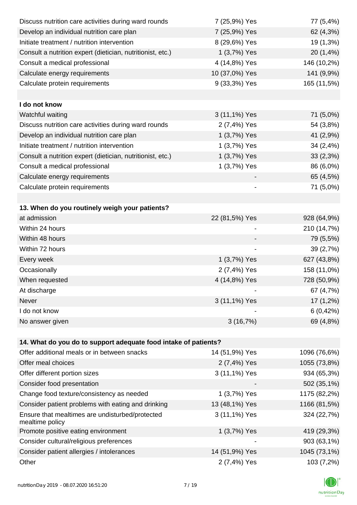| Discuss nutrition care activities during ward rounds               | 7 (25,9%) Yes            | 77 (5,4%)    |
|--------------------------------------------------------------------|--------------------------|--------------|
| Develop an individual nutrition care plan                          | 7 (25,9%) Yes            | 62 (4,3%)    |
| Initiate treatment / nutrition intervention                        | 8 (29,6%) Yes            | 19 (1,3%)    |
| Consult a nutrition expert (dietician, nutritionist, etc.)         | 1 (3,7%) Yes             | 20 (1,4%)    |
| Consult a medical professional                                     | 4 (14,8%) Yes            | 146 (10,2%)  |
| Calculate energy requirements                                      | 10 (37,0%) Yes           | 141 (9,9%)   |
| Calculate protein requirements                                     | 9 (33,3%) Yes            | 165 (11,5%)  |
|                                                                    |                          |              |
| I do not know                                                      |                          |              |
| Watchful waiting                                                   | 3 (11,1%) Yes            | 71 (5,0%)    |
| Discuss nutrition care activities during ward rounds               | 2 (7,4%) Yes             | 54 (3,8%)    |
| Develop an individual nutrition care plan                          | 1 (3,7%) Yes             | 41 (2,9%)    |
| Initiate treatment / nutrition intervention                        | 1 (3,7%) Yes             | 34 (2,4%)    |
| Consult a nutrition expert (dietician, nutritionist, etc.)         | 1 (3,7%) Yes             | 33(2,3%)     |
| Consult a medical professional                                     | 1 (3,7%) Yes             | 86 (6,0%)    |
| Calculate energy requirements                                      |                          | 65 (4,5%)    |
| Calculate protein requirements                                     |                          | 71 (5,0%)    |
|                                                                    |                          |              |
| 13. When do you routinely weigh your patients?                     |                          |              |
| at admission                                                       | 22 (81,5%) Yes           | 928 (64,9%)  |
| Within 24 hours                                                    |                          | 210 (14,7%)  |
| Within 48 hours                                                    |                          | 79 (5,5%)    |
| Within 72 hours                                                    | $\overline{\phantom{a}}$ | 39 (2,7%)    |
| Every week                                                         | 1 (3,7%) Yes             | 627 (43,8%)  |
| Occasionally                                                       | 2 (7,4%) Yes             | 158 (11,0%)  |
| When requested                                                     | 4 (14,8%) Yes            | 728 (50,9%)  |
| At discharge                                                       |                          | 67 (4,7%)    |
| Never                                                              | 3 (11,1%) Yes            | $17(1,2\%)$  |
| I do not know                                                      |                          | 6(0,42%)     |
| No answer given                                                    | 3(16,7%)                 | 69 (4,8%)    |
|                                                                    |                          |              |
| 14. What do you do to support adequate food intake of patients?    |                          |              |
| Offer additional meals or in between snacks                        | 14 (51,9%) Yes           | 1096 (76,6%) |
| Offer meal choices                                                 | 2 (7,4%) Yes             | 1055 (73,8%) |
| Offer different portion sizes                                      | 3 (11,1%) Yes            | 934 (65,3%)  |
| Consider food presentation                                         |                          | 502 (35,1%)  |
| Change food texture/consistency as needed                          | 1 (3,7%) Yes             | 1175 (82,2%) |
| Consider patient problems with eating and drinking                 | 13 (48,1%) Yes           | 1166 (81,5%) |
| Ensure that mealtimes are undisturbed/protected<br>mealtime policy | 3 (11,1%) Yes            | 324 (22,7%)  |
| Promote positive eating environment                                | 1 (3,7%) Yes             | 419 (29,3%)  |
| Consider cultural/religious preferences                            |                          | 903 (63,1%)  |
| Consider patient allergies / intolerances                          | 14 (51,9%) Yes           | 1045 (73,1%) |
| Other                                                              | 2 (7,4%) Yes             | 103 (7,2%)   |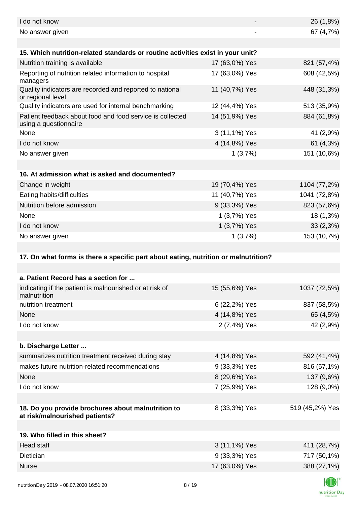| I do not know                                                                        |                | 26 (1,8%)                                                             |
|--------------------------------------------------------------------------------------|----------------|-----------------------------------------------------------------------|
| No answer given                                                                      |                | 67 (4,7%)                                                             |
|                                                                                      |                |                                                                       |
| 15. Which nutrition-related standards or routine activities exist in your unit?      |                |                                                                       |
| Nutrition training is available                                                      | 17 (63,0%) Yes | 821 (57,4%)                                                           |
| Reporting of nutrition related information to hospital<br>managers                   | 17 (63,0%) Yes | 608 (42,5%)                                                           |
| Quality indicators are recorded and reported to national<br>or regional level        | 11 (40,7%) Yes | 448 (31,3%)                                                           |
| Quality indicators are used for internal benchmarking                                | 12 (44,4%) Yes | 513 (35,9%)                                                           |
| Patient feedback about food and food service is collected<br>using a questionnaire   | 14 (51,9%) Yes | 884 (61,8%)                                                           |
| None                                                                                 | 3 (11,1%) Yes  | 41 (2,9%)                                                             |
| I do not know                                                                        | 4 (14,8%) Yes  | 61 (4,3%)                                                             |
| No answer given                                                                      | 1(3,7%)        | 151 (10,6%)                                                           |
|                                                                                      |                |                                                                       |
| 16. At admission what is asked and documented?                                       |                |                                                                       |
| Change in weight                                                                     | 19 (70,4%) Yes | 1104 (77,2%)                                                          |
| Eating habits/difficulties                                                           | 11 (40,7%) Yes | 1041 (72,8%)                                                          |
| Nutrition before admission                                                           | 9 (33,3%) Yes  | 823 (57,6%)                                                           |
| None                                                                                 | 1 (3,7%) Yes   | 18 (1,3%)                                                             |
| I do not know                                                                        | 1 (3,7%) Yes   | 33(2,3%)                                                              |
| No answer given                                                                      | 1(3,7%)        | 153 (10,7%)                                                           |
|                                                                                      |                |                                                                       |
| 17. On what forms is there a specific part about eating, nutrition or malnutrition?  |                |                                                                       |
|                                                                                      |                |                                                                       |
|                                                                                      |                |                                                                       |
| a. Patient Record has a section for                                                  |                |                                                                       |
| indicating if the patient is malnourished or at risk of<br>malnutrition              | 15 (55,6%) Yes |                                                                       |
| nutrition treatment                                                                  | 6 (22,2%) Yes  |                                                                       |
| None                                                                                 | 4 (14,8%) Yes  | 65 (4,5%)                                                             |
| I do not know                                                                        | 2 (7,4%) Yes   |                                                                       |
|                                                                                      |                |                                                                       |
| b. Discharge Letter                                                                  |                |                                                                       |
| summarizes nutrition treatment received during stay                                  | 4 (14,8%) Yes  |                                                                       |
| makes future nutrition-related recommendations                                       | 9 (33,3%) Yes  | 816 (57,1%)                                                           |
| None                                                                                 | 8 (29,6%) Yes  | 1037 (72,5%)<br>837 (58,5%)<br>42 (2,9%)<br>592 (41,4%)<br>137 (9,6%) |
| I do not know                                                                        | 7 (25,9%) Yes  | 128 (9,0%)                                                            |
|                                                                                      |                |                                                                       |
| 18. Do you provide brochures about malnutrition to<br>at risk/malnourished patients? | 8 (33,3%) Yes  | 519 (45,2%) Yes                                                       |
|                                                                                      |                |                                                                       |
| 19. Who filled in this sheet?                                                        |                |                                                                       |
| <b>Head staff</b>                                                                    | 3 (11,1%) Yes  |                                                                       |
| Dietician                                                                            | 9 (33,3%) Yes  |                                                                       |
| <b>Nurse</b>                                                                         | 17 (63,0%) Yes | 411 (28,7%)<br>717 (50,1%)<br>388 (27,1%)                             |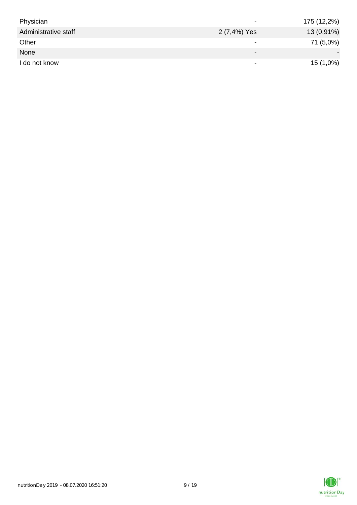| Physician            | $\overline{\phantom{0}}$ | 175 (12,2%) |
|----------------------|--------------------------|-------------|
| Administrative staff | 2 (7,4%) Yes             | 13 (0,91%)  |
| Other                | $\overline{\phantom{0}}$ | 71 (5,0%)   |
| None                 | $\overline{\phantom{0}}$ |             |
| I do not know        | $\overline{\phantom{a}}$ | 15 (1,0%)   |

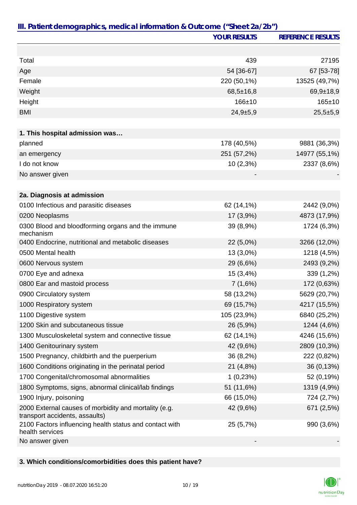|                                                                                         | <b>YOUR RESULTS</b> | <b>REFERENCE RESULTS</b> |
|-----------------------------------------------------------------------------------------|---------------------|--------------------------|
|                                                                                         |                     |                          |
| Total                                                                                   | 439                 | 27195                    |
| Age                                                                                     | 54 [36-67]          | 67 [53-78]               |
| Female                                                                                  | 220 (50,1%)         | 13525 (49,7%)            |
| Weight                                                                                  | $68,5 \pm 16,8$     | $69,9 \pm 18,9$          |
| Height                                                                                  | $166 + 10$          | $165 \pm 10$             |
| <b>BMI</b>                                                                              | $24,9+5,9$          | $25,5+5,9$               |
|                                                                                         |                     |                          |
| 1. This hospital admission was                                                          |                     |                          |
| planned                                                                                 | 178 (40,5%)         | 9881 (36,3%)             |
| an emergency                                                                            | 251 (57,2%)         | 14977 (55,1%)            |
| I do not know                                                                           | 10 (2,3%)           | 2337 (8,6%)              |
| No answer given                                                                         |                     |                          |
|                                                                                         |                     |                          |
| 2a. Diagnosis at admission                                                              |                     |                          |
| 0100 Infectious and parasitic diseases                                                  | 62 (14,1%)          | 2442 (9,0%)              |
| 0200 Neoplasms                                                                          | 17 (3,9%)           | 4873 (17,9%)             |
| 0300 Blood and bloodforming organs and the immune<br>mechanism                          | 39 (8,9%)           | 1724 (6,3%)              |
| 0400 Endocrine, nutritional and metabolic diseases                                      | 22 (5,0%)           | 3266 (12,0%)             |
| 0500 Mental health                                                                      | 13 (3,0%)           | 1218 (4,5%)              |
| 0600 Nervous system                                                                     | 29 (6,6%)           | 2493 (9,2%)              |
| 0700 Eye and adnexa                                                                     | 15 (3,4%)           | 339 (1,2%)               |
| 0800 Ear and mastoid process                                                            | 7(1,6%)             | 172 (0,63%)              |
| 0900 Circulatory system                                                                 | 58 (13,2%)          | 5629 (20,7%)             |
| 1000 Respiratory system                                                                 | 69 (15,7%)          | 4217 (15,5%)             |
| 1100 Digestive system                                                                   | 105 (23,9%)         | 6840 (25,2%)             |
| 1200 Skin and subcutaneous tissue                                                       | 26 (5,9%)           | 1244 (4,6%)              |
| 1300 Musculoskeletal system and connective tissue                                       | 62 (14,1%)          | 4246 (15,6%)             |
| 1400 Genitourinary system                                                               | 42 (9,6%)           | 2809 (10,3%)             |
| 1500 Pregnancy, childbirth and the puerperium                                           | 36 (8,2%)           | 222 (0,82%)              |
| 1600 Conditions originating in the perinatal period                                     | 21 (4,8%)           | 36 (0,13%)               |
| 1700 Congenital/chromosomal abnormalities                                               | 1(0,23%)            | 52 (0,19%)               |
| 1800 Symptoms, signs, abnormal clinical/lab findings                                    | 51 (11,6%)          | 1319 (4,9%)              |
| 1900 Injury, poisoning                                                                  | 66 (15,0%)          | 724 (2,7%)               |
| 2000 External causes of morbidity and mortality (e.g.<br>transport accidents, assaults) | 42 (9,6%)           | 671 (2,5%)               |
| 2100 Factors influencing health status and contact with<br>health services              | 25 (5,7%)           | 990 (3,6%)               |
| No answer given                                                                         |                     |                          |

### **3. Which conditions/comorbidities does this patient have?**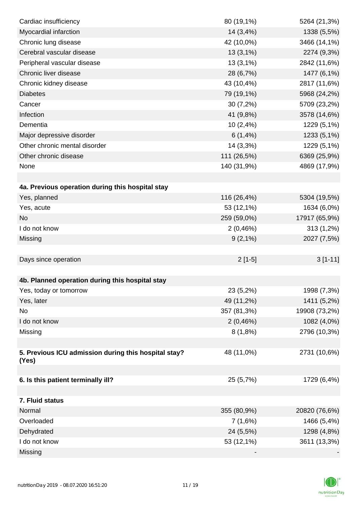| Cardiac insufficiency                                         | 80 (19,1%)  | 5264 (21,3%)  |
|---------------------------------------------------------------|-------------|---------------|
| Myocardial infarction                                         | 14 (3,4%)   | 1338 (5,5%)   |
| Chronic lung disease                                          | 42 (10,0%)  | 3466 (14,1%)  |
| Cerebral vascular disease                                     | $13(3,1\%)$ | 2274 (9,3%)   |
| Peripheral vascular disease                                   | 13(3,1%)    | 2842 (11,6%)  |
| Chronic liver disease                                         | 28 (6,7%)   | 1477 (6,1%)   |
| Chronic kidney disease                                        | 43 (10,4%)  | 2817 (11,6%)  |
| <b>Diabetes</b>                                               | 79 (19,1%)  | 5968 (24,2%)  |
| Cancer                                                        | 30(7,2%)    | 5709 (23,2%)  |
| Infection                                                     | 41 (9,8%)   | 3578 (14,6%)  |
| Dementia                                                      | 10(2,4%)    | 1229 (5,1%)   |
| Major depressive disorder                                     | $6(1,4\%)$  | 1233 (5,1%)   |
| Other chronic mental disorder                                 | 14 (3,3%)   | 1229 (5,1%)   |
| Other chronic disease                                         | 111 (26,5%) | 6369 (25,9%)  |
| None                                                          | 140 (31,9%) | 4869 (17,9%)  |
|                                                               |             |               |
| 4a. Previous operation during this hospital stay              |             |               |
| Yes, planned                                                  | 116 (26,4%) | 5304 (19,5%)  |
| Yes, acute                                                    | 53 (12,1%)  | 1634 (6,0%)   |
| <b>No</b>                                                     | 259 (59,0%) | 17917 (65,9%) |
| I do not know                                                 | 2(0,46%)    | 313 (1,2%)    |
| Missing                                                       | $9(2,1\%)$  | 2027 (7,5%)   |
|                                                               |             |               |
| Days since operation                                          | $2[1-5]$    | $3[1-11]$     |
|                                                               |             |               |
| 4b. Planned operation during this hospital stay               |             |               |
| Yes, today or tomorrow                                        | 23 (5,2%)   | 1998 (7,3%)   |
| Yes, later                                                    | 49 (11,2%)  | 1411 (5,2%)   |
| No                                                            | 357 (81,3%) | 19908 (73,2%) |
| I do not know                                                 | 2(0,46%)    | 1082 (4,0%)   |
| Missing                                                       | 8(1,8%)     | 2796 (10,3%)  |
|                                                               |             |               |
| 5. Previous ICU admission during this hospital stay?<br>(Yes) | 48 (11,0%)  | 2731 (10,6%)  |
|                                                               |             |               |
| 6. Is this patient terminally ill?                            | 25 (5,7%)   | 1729 (6,4%)   |
|                                                               |             |               |
| 7. Fluid status                                               |             |               |
| Normal                                                        | 355 (80,9%) | 20820 (76,6%) |
| Overloaded                                                    | 7(1,6%)     | 1466 (5,4%)   |
| Dehydrated                                                    | 24 (5,5%)   | 1298 (4,8%)   |
| I do not know                                                 | 53 (12,1%)  | 3611 (13,3%)  |
| Missing                                                       |             |               |

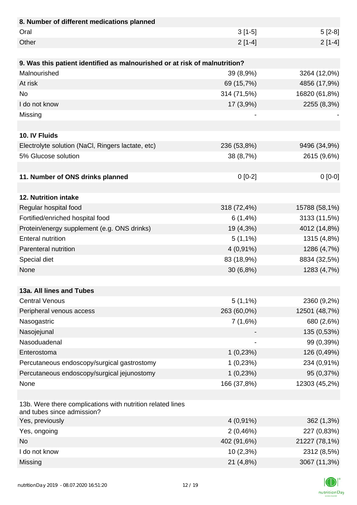| 8. Number of different medications planned                                               |             |               |
|------------------------------------------------------------------------------------------|-------------|---------------|
| Oral                                                                                     | $3[1-5]$    | $5[2-8]$      |
| Other                                                                                    | $2[1-4]$    | $2[1-4]$      |
|                                                                                          |             |               |
| 9. Was this patient identified as malnourished or at risk of malnutrition?               |             |               |
| Malnourished                                                                             | 39 (8,9%)   | 3264 (12,0%)  |
| At risk                                                                                  | 69 (15,7%)  | 4856 (17,9%)  |
| <b>No</b>                                                                                | 314 (71,5%) | 16820 (61,8%) |
| I do not know                                                                            | 17(3,9%)    | 2255 (8,3%)   |
| Missing                                                                                  |             |               |
|                                                                                          |             |               |
| 10. IV Fluids                                                                            |             |               |
| Electrolyte solution (NaCl, Ringers lactate, etc)                                        | 236 (53,8%) | 9496 (34,9%)  |
| 5% Glucose solution                                                                      | 38 (8,7%)   | 2615 (9,6%)   |
|                                                                                          |             |               |
| 11. Number of ONS drinks planned                                                         | $0[0-2]$    | $0[0-0]$      |
|                                                                                          |             |               |
| 12. Nutrition intake                                                                     |             |               |
| Regular hospital food                                                                    | 318 (72,4%) | 15788 (58,1%) |
| Fortified/enriched hospital food                                                         | 6(1,4%)     | 3133 (11,5%)  |
| Protein/energy supplement (e.g. ONS drinks)                                              | 19 (4,3%)   | 4012 (14,8%)  |
| <b>Enteral nutrition</b>                                                                 | $5(1,1\%)$  | 1315 (4,8%)   |
| Parenteral nutrition                                                                     | $4(0,91\%)$ | 1286 (4,7%)   |
| Special diet                                                                             | 83 (18,9%)  | 8834 (32,5%)  |
| None                                                                                     | 30(6,8%)    | 1283 (4,7%)   |
|                                                                                          |             |               |
| 13a. All lines and Tubes                                                                 |             |               |
| <b>Central Venous</b>                                                                    | $5(1,1\%)$  | 2360 (9,2%)   |
| Peripheral venous access                                                                 | 263 (60,0%) | 12501 (48,7%) |
| Nasogastric                                                                              | 7(1,6%)     | 680 (2,6%)    |
| Nasojejunal                                                                              |             | 135 (0,53%)   |
| Nasoduadenal                                                                             |             | 99 (0,39%)    |
| Enterostoma                                                                              | 1(0,23%)    | 126 (0,49%)   |
| Percutaneous endoscopy/surgical gastrostomy                                              | 1(0,23%)    | 234 (0,91%)   |
| Percutaneous endoscopy/surgical jejunostomy                                              | 1(0,23%)    | 95 (0,37%)    |
| None                                                                                     | 166 (37,8%) | 12303 (45,2%) |
|                                                                                          |             |               |
| 13b. Were there complications with nutrition related lines<br>and tubes since admission? |             |               |
| Yes, previously                                                                          | $4(0,91\%)$ | 362 (1,3%)    |
| Yes, ongoing                                                                             | 2(0,46%)    | 227 (0,83%)   |
| <b>No</b>                                                                                | 402 (91,6%) | 21227 (78,1%) |
| I do not know                                                                            | 10(2,3%)    | 2312 (8,5%)   |
| Missing                                                                                  | 21 (4,8%)   | 3067 (11,3%)  |

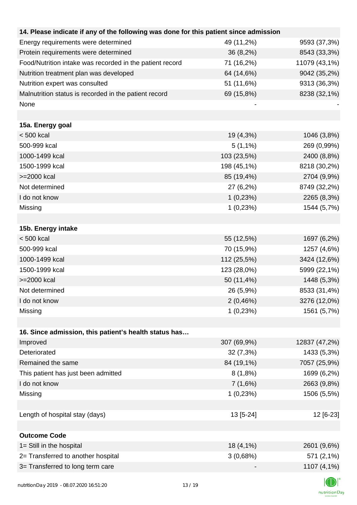| 14. Please indicate if any of the following was done for this patient since admission |             |               |
|---------------------------------------------------------------------------------------|-------------|---------------|
| Energy requirements were determined                                                   | 49 (11,2%)  | 9593 (37,3%)  |
| Protein requirements were determined                                                  | 36 (8,2%)   | 8543 (33,3%)  |
| Food/Nutrition intake was recorded in the patient record                              | 71 (16,2%)  | 11079 (43,1%) |
| Nutrition treatment plan was developed                                                | 64 (14,6%)  | 9042 (35,2%)  |
| Nutrition expert was consulted                                                        | 51 (11,6%)  | 9313 (36,3%)  |
| Malnutrition status is recorded in the patient record                                 | 69 (15,8%)  | 8238 (32,1%)  |
| None                                                                                  |             |               |
|                                                                                       |             |               |
| 15a. Energy goal                                                                      |             |               |
| $< 500$ kcal                                                                          | 19 (4,3%)   | 1046 (3,8%)   |
| 500-999 kcal                                                                          | $5(1,1\%)$  | 269 (0,99%)   |
| 1000-1499 kcal                                                                        | 103 (23,5%) | 2400 (8,8%)   |
| 1500-1999 kcal                                                                        | 198 (45,1%) | 8218 (30,2%)  |
| >=2000 kcal                                                                           | 85 (19,4%)  | 2704 (9,9%)   |
| Not determined                                                                        | 27 (6,2%)   | 8749 (32,2%)  |
| I do not know                                                                         | 1(0,23%)    | 2265 (8,3%)   |
| Missing                                                                               | 1(0,23%)    | 1544 (5,7%)   |
|                                                                                       |             |               |
| 15b. Energy intake                                                                    |             |               |
| $< 500$ kcal                                                                          | 55 (12,5%)  | 1697 (6,2%)   |
| 500-999 kcal                                                                          | 70 (15,9%)  | 1257 (4,6%)   |
| 1000-1499 kcal                                                                        | 112 (25,5%) | 3424 (12,6%)  |
| 1500-1999 kcal                                                                        | 123 (28,0%) | 5999 (22,1%)  |
| >=2000 kcal                                                                           | 50 (11,4%)  | 1448 (5,3%)   |
| Not determined                                                                        | 26 (5,9%)   | 8533 (31,4%)  |
| I do not know                                                                         | 2(0,46%)    | 3276 (12,0%)  |
| Missing                                                                               | 1(0,23%)    | 1561 (5,7%)   |
|                                                                                       |             |               |
| 16. Since admission, this patient's health status has                                 |             |               |
| Improved                                                                              | 307 (69,9%) | 12837 (47,2%) |
| Deteriorated                                                                          | 32(7,3%)    | 1433 (5,3%)   |
| Remained the same                                                                     | 84 (19,1%)  | 7057 (25,9%)  |
| This patient has just been admitted                                                   | 8(1,8%)     | 1699 (6,2%)   |
| I do not know                                                                         | 7(1,6%)     | 2663 (9,8%)   |
| Missing                                                                               | 1(0,23%)    | 1506 (5,5%)   |
|                                                                                       |             |               |
| Length of hospital stay (days)                                                        | 13 [5-24]   | 12 [6-23]     |
|                                                                                       |             |               |
| <b>Outcome Code</b>                                                                   |             |               |
| 1= Still in the hospital                                                              | 18 (4,1%)   | 2601 (9,6%)   |
| 2= Transferred to another hospital                                                    | 3(0,68%)    | 571 (2,1%)    |
| 3= Transferred to long term care                                                      |             | 1107 (4,1%)   |
|                                                                                       |             |               |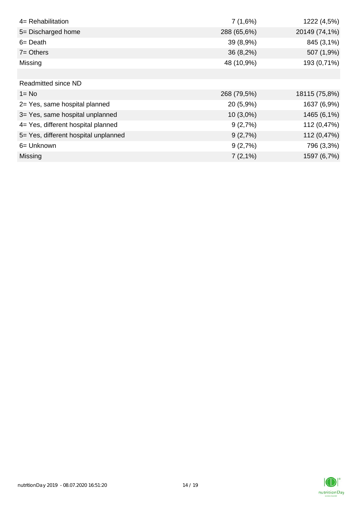| 4= Rehabilitation                    | 7(1,6%)     | 1222 (4,5%)   |
|--------------------------------------|-------------|---------------|
| 5= Discharged home                   | 288 (65,6%) | 20149 (74,1%) |
| $6 = Death$                          | 39 (8,9%)   | 845 (3,1%)    |
| $7 =$ Others                         | $36(8,2\%)$ | 507 (1,9%)    |
| Missing                              | 48 (10,9%)  | 193 (0,71%)   |
|                                      |             |               |
| Readmitted since ND                  |             |               |
| $1 = No$                             | 268 (79,5%) | 18115 (75,8%) |
| 2= Yes, same hospital planned        | 20 (5,9%)   | 1637 (6,9%)   |
| 3= Yes, same hospital unplanned      | $10(3,0\%)$ | 1465 (6,1%)   |
| 4= Yes, different hospital planned   | 9(2,7%)     | 112 (0,47%)   |
| 5= Yes, different hospital unplanned | 9(2,7%)     | 112 (0,47%)   |
| 6= Unknown                           | 9(2,7%)     | 796 (3,3%)    |
| <b>Missing</b>                       | $7(2,1\%)$  | 1597 (6,7%)   |

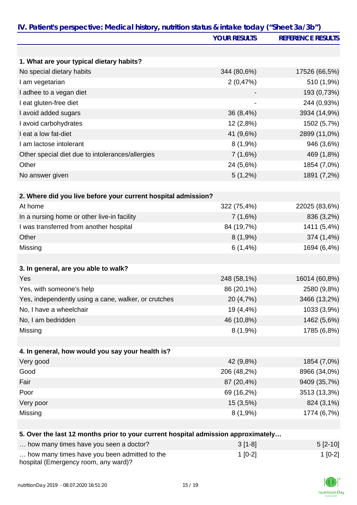|                                                                                   | <b>YOUR RESULTS</b> | <b>REFERENCE RESULTS</b> |
|-----------------------------------------------------------------------------------|---------------------|--------------------------|
|                                                                                   |                     |                          |
| 1. What are your typical dietary habits?                                          |                     |                          |
| No special dietary habits                                                         | 344 (80,6%)         | 17526 (66,5%)            |
| I am vegetarian                                                                   | 2(0,47%)            | 510 (1,9%)               |
| I adhee to a vegan diet                                                           |                     | 193 (0,73%)              |
| I eat gluten-free diet                                                            |                     | 244 (0,93%)              |
| I avoid added sugars                                                              | 36 (8,4%)           | 3934 (14,9%)             |
| I avoid carbohydrates                                                             | 12 (2,8%)           | 1502 (5,7%)              |
| I eat a low fat-diet                                                              | 41 (9,6%)           | 2899 (11,0%)             |
| I am lactose intolerant                                                           | $8(1,9\%)$          | 946 (3,6%)               |
| Other special diet due to intolerances/allergies                                  | 7(1,6%)             | 469 (1,8%)               |
| Other                                                                             | 24 (5,6%)           | 1854 (7,0%)              |
| No answer given                                                                   | $5(1,2\%)$          | 1891 (7,2%)              |
|                                                                                   |                     |                          |
| 2. Where did you live before your current hospital admission?                     |                     |                          |
| At home                                                                           | 322 (75,4%)         | 22025 (83,6%)            |
| In a nursing home or other live-in facility                                       | 7(1,6%)             | 836 (3,2%)               |
| I was transferred from another hospital                                           | 84 (19,7%)          | 1411 (5,4%)              |
| Other                                                                             | 8(1,9%)             | 374 (1,4%)               |
| Missing                                                                           | 6(1,4%)             | 1694 (6,4%)              |
|                                                                                   |                     |                          |
| 3. In general, are you able to walk?                                              |                     |                          |
| Yes                                                                               | 248 (58,1%)         | 16014 (60,8%)            |
| Yes, with someone's help                                                          | 86 (20,1%)          | 2580 (9,8%)              |
| Yes, independently using a cane, walker, or crutches                              | 20 (4,7%)           | 3466 (13,2%)             |
| No, I have a wheelchair                                                           | 19 (4,4%)           | 1033 (3,9%)              |
| No, I am bedridden                                                                | 46 (10,8%)          | 1462 (5,6%)              |
| Missing                                                                           | 8(1,9%)             | 1785 (6,8%)              |
|                                                                                   |                     |                          |
| 4. In general, how would you say your health is?                                  |                     |                          |
| Very good                                                                         | 42 (9,8%)           | 1854 (7,0%)              |
| Good                                                                              | 206 (48,2%)         | 8966 (34,0%)             |
| Fair                                                                              | 87 (20,4%)          | 9409 (35,7%)             |
| Poor                                                                              | 69 (16,2%)          | 3513 (13,3%)             |
| Very poor                                                                         | 15 (3,5%)           | 824 (3,1%)               |
| Missing                                                                           | $8(1,9\%)$          | 1774 (6,7%)              |
|                                                                                   |                     |                          |
| 5. Over the last 12 months prior to your current hospital admission approximately |                     |                          |
| how many times have you seen a doctor?                                            | $3[1-8]$            | $5[2-10]$                |
| how many times have you been admitted to the                                      | $1[0-2]$            | $1[0-2]$                 |

hospital (Emergency room, any ward)?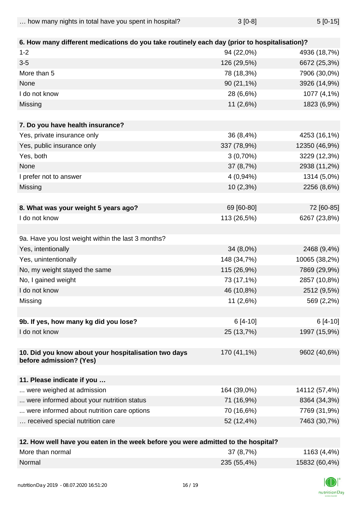| how many nights in total have you spent in hospital? | $3[0-8]$ | $5[0-15]$ |
|------------------------------------------------------|----------|-----------|
|------------------------------------------------------|----------|-----------|

| 6. How many different medications do you take routinely each day (prior to hospitalisation)? |                           |               |
|----------------------------------------------------------------------------------------------|---------------------------|---------------|
| $1 - 2$                                                                                      | 94 (22,0%)                | 4936 (18,7%)  |
| $3-5$                                                                                        | 126 (29,5%)               | 6672 (25,3%)  |
| More than 5                                                                                  | 78 (18,3%)                | 7906 (30,0%)  |
| None                                                                                         | 90 (21,1%)                | 3926 (14,9%)  |
| I do not know                                                                                | 28 (6,6%)                 | 1077 (4,1%)   |
| Missing                                                                                      | 11 (2,6%)                 | 1823 (6,9%)   |
| 7. Do you have health insurance?                                                             |                           |               |
| Yes, private insurance only                                                                  | 36 (8,4%)                 | 4253 (16,1%)  |
| Yes, public insurance only                                                                   | 337 (78,9%)               | 12350 (46,9%) |
| Yes, both                                                                                    | $3(0,70\%)$               | 3229 (12,3%)  |
| None                                                                                         | 37 (8,7%)                 | 2938 (11,2%)  |
| I prefer not to answer                                                                       | $4(0,94\%)$               | 1314 (5,0%)   |
| Missing                                                                                      | 10 (2,3%)                 | 2256 (8,6%)   |
|                                                                                              |                           |               |
| 8. What was your weight 5 years ago?                                                         | 69 [60-80]                | 72 [60-85]    |
| I do not know                                                                                | 113 (26,5%)               | 6267 (23,8%)  |
|                                                                                              |                           |               |
| 9a. Have you lost weight within the last 3 months?                                           |                           |               |
| Yes, intentionally                                                                           | 34 (8,0%)                 | 2468 (9,4%)   |
| Yes, unintentionally                                                                         | 148 (34,7%)               | 10065 (38,2%) |
| No, my weight stayed the same                                                                | 115 (26,9%)               | 7869 (29,9%)  |
| No, I gained weight                                                                          | 73 (17,1%)                | 2857 (10,8%)  |
| I do not know                                                                                | 46 (10,8%)                | 2512 (9,5%)   |
| Missing                                                                                      | 11 (2,6%)                 | 569 (2,2%)    |
|                                                                                              |                           |               |
| 9b. If yes, how many kg did you lose?                                                        | 6 [4-10]                  | $6[4-10]$     |
| I do not know                                                                                | 25 (13,7%)                | 1997 (15,9%)  |
|                                                                                              |                           |               |
| 10. Did you know about your hospitalisation two days<br>before admission? (Yes)              | 170 (41,1%)               | 9602 (40,6%)  |
| 11. Please indicate if you                                                                   |                           |               |
| were weighed at admission                                                                    | 164 (39,0%)               | 14112 (57,4%) |
| were informed about your nutrition status                                                    | 71 (16,9%)                | 8364 (34,3%)  |
| were informed about nutrition care options                                                   | 70 (16,6%)                | 7769 (31,9%)  |
| received special nutrition care                                                              | 52 (12,4%)                | 7463 (30,7%)  |
|                                                                                              |                           |               |
| 10. Haw well have you esten in the week hefere you we                                        | ductional to the heading? |               |

| 12. How well have you eaten in the week before you were admitted to the hospital? |             |               |
|-----------------------------------------------------------------------------------|-------------|---------------|
| More than normal                                                                  | 37 (8,7%)   | 1163 (4,4%)   |
| Normal                                                                            | 235 (55,4%) | 15832 (60,4%) |

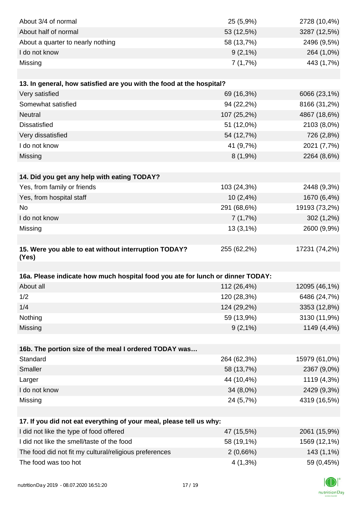| About 3/4 of normal                                                            | 25 (5,9%)   | 2728 (10,4%)  |
|--------------------------------------------------------------------------------|-------------|---------------|
| About half of normal                                                           | 53 (12,5%)  | 3287 (12,5%)  |
| About a quarter to nearly nothing                                              | 58 (13,7%)  | 2496 (9,5%)   |
| I do not know                                                                  | $9(2,1\%)$  | 264 (1,0%)    |
| Missing                                                                        | 7(1,7%)     | 443 (1,7%)    |
|                                                                                |             |               |
| 13. In general, how satisfied are you with the food at the hospital?           |             |               |
| Very satisfied                                                                 | 69 (16,3%)  | 6066 (23,1%)  |
| Somewhat satisfied                                                             | 94 (22,2%)  | 8166 (31,2%)  |
| <b>Neutral</b>                                                                 | 107 (25,2%) | 4867 (18,6%)  |
| <b>Dissatisfied</b>                                                            | 51 (12,0%)  | 2103 (8,0%)   |
| Very dissatisfied                                                              | 54 (12,7%)  | 726 (2,8%)    |
| I do not know                                                                  | 41 (9,7%)   | 2021 (7,7%)   |
| Missing                                                                        | 8(1,9%)     | 2264 (8,6%)   |
|                                                                                |             |               |
| 14. Did you get any help with eating TODAY?                                    |             |               |
| Yes, from family or friends                                                    | 103 (24,3%) | 2448 (9,3%)   |
| Yes, from hospital staff                                                       | 10(2,4%)    | 1670 (6,4%)   |
| <b>No</b>                                                                      | 291 (68,6%) | 19193 (73,2%) |
| I do not know                                                                  | 7(1,7%)     | 302 (1,2%)    |
| Missing                                                                        | 13(3,1%)    | 2600 (9,9%)   |
|                                                                                |             |               |
| 15. Were you able to eat without interruption TODAY?<br>(Yes)                  | 255 (62,2%) | 17231 (74,2%) |
|                                                                                |             |               |
| 16a. Please indicate how much hospital food you ate for lunch or dinner TODAY: |             |               |
| About all                                                                      | 112 (26,4%) | 12095 (46,1%) |
| 1/2                                                                            | 120 (28,3%) | 6486 (24,7%)  |
| 1/4                                                                            | 124 (29,2%) | 3353 (12,8%)  |
| Nothing                                                                        | 59 (13,9%)  | 3130 (11,9%)  |
| Missing                                                                        | $9(2,1\%)$  | 1149 (4,4%)   |
|                                                                                |             |               |
| 16b. The portion size of the meal I ordered TODAY was                          |             |               |
| Standard                                                                       | 264 (62,3%) | 15979 (61,0%) |
| Smaller                                                                        | 58 (13,7%)  | 2367 (9,0%)   |
| Larger                                                                         | 44 (10,4%)  | 1119 (4,3%)   |
| I do not know                                                                  | 34 (8,0%)   | 2429 (9,3%)   |
| Missing                                                                        | 24 (5,7%)   | 4319 (16,5%)  |
|                                                                                |             |               |
| 17. If you did not eat everything of your meal, please tell us why:            |             |               |
| I did not like the type of food offered                                        | 47 (15,5%)  | 2061 (15,9%)  |
| I did not like the smell/taste of the food                                     | 58 (19,1%)  | 1569 (12,1%)  |
| The food did not fit my cultural/religious preferences                         | 2(0,66%)    | 143 (1,1%)    |
| The food was too hot                                                           | $4(1,3\%)$  | 59 (0,45%)    |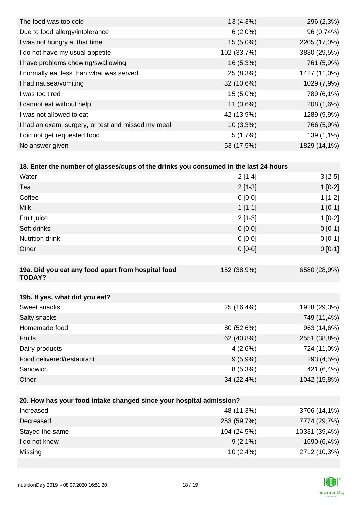| The food was too cold                              | 13 (4,3%)   | 296 (2,3%)   |
|----------------------------------------------------|-------------|--------------|
| Due to food allergy/intolerance                    | $6(2,0\%)$  | 96 (0,74%)   |
| I was not hungry at that time                      | $15(5,0\%)$ | 2205 (17,0%) |
| I do not have my usual appetite                    | 102 (33,7%) | 3830 (29,5%) |
| I have problems chewing/swallowing                 | $16(5,3\%)$ | 761 (5,9%)   |
| I normally eat less than what was served           | 25 (8,3%)   | 1427 (11,0%) |
| I had nausea/vomiting                              | 32 (10,6%)  | 1029 (7,9%)  |
| I was too tired                                    | 15 (5,0%)   | 789 (6,1%)   |
| I cannot eat without help                          | 11(3,6%)    | 208 (1,6%)   |
| I was not allowed to eat                           | 42 (13,9%)  | 1289 (9,9%)  |
| I had an exam, surgery, or test and missed my meal | $10(3,3\%)$ | 766 (5,9%)   |
| I did not get requested food                       | 5(1,7%)     | 139 (1,1%)   |
| No answer given                                    | 53 (17,5%)  | 1829 (14,1%) |

| 18. Enter the number of glasses/cups of the drinks you consumed in the last 24 hours |             |              |
|--------------------------------------------------------------------------------------|-------------|--------------|
| Water                                                                                | $2[1-4]$    | $3[2-5]$     |
| Tea                                                                                  | $2[1-3]$    | $1[0-2]$     |
| Coffee                                                                               | $0 [0-0]$   | $1[1-2]$     |
| <b>Milk</b>                                                                          | $1[1-1]$    | $1[0-1]$     |
| Fruit juice                                                                          | $2[1-3]$    | $1[0-2]$     |
| Soft drinks                                                                          | $0 [0-0]$   | $0[0-1]$     |
| <b>Nutrition drink</b>                                                               | $0$ [0-0]   | $0[0-1]$     |
| Other                                                                                | $0 [0-0]$   | $0[0-1]$     |
|                                                                                      |             |              |
| 19a. Did you eat any food apart from hospital food<br><b>TODAY?</b>                  | 152 (38,9%) | 6580 (28,9%) |
|                                                                                      |             |              |

| 19b. If yes, what did you eat? |                          |              |
|--------------------------------|--------------------------|--------------|
| Sweet snacks                   | 25 (16,4%)               | 1928 (29,3%) |
| Salty snacks                   | $\overline{\phantom{a}}$ | 749 (11,4%)  |
| Homemade food                  | 80 (52,6%)               | 963 (14,6%)  |
| <b>Fruits</b>                  | 62 (40,8%)               | 2551 (38,8%) |
| Dairy products                 | 4(2,6%)                  | 724 (11,0%)  |
| Food delivered/restaurant      | $9(5,9\%)$               | 293 (4,5%)   |
| Sandwich                       | $8(5,3\%)$               | 421 (6,4%)   |
| Other                          | 34 (22,4%)               | 1042 (15,8%) |

| 20. How has your food intake changed since your hospital admission? |             |               |  |  |
|---------------------------------------------------------------------|-------------|---------------|--|--|
| Increased                                                           | 48 (11,3%)  | 3706 (14,1%)  |  |  |
| Decreased                                                           | 253 (59,7%) | 7774 (29,7%)  |  |  |
| Stayed the same                                                     | 104 (24,5%) | 10331 (39,4%) |  |  |
| I do not know                                                       | $9(2,1\%)$  | 1690 (6,4%)   |  |  |
| Missing                                                             | 10(2,4%)    | 2712 (10,3%)  |  |  |